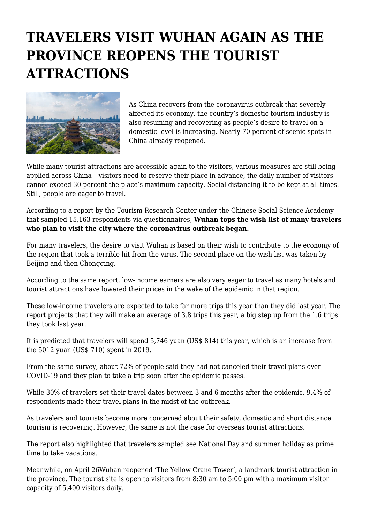## **TRAVELERS VISIT WUHAN AGAIN AS THE PROVINCE REOPENS THE TOURIST ATTRACTIONS**



As China recovers from the coronavirus outbreak that severely affected its economy, the country's domestic tourism industry is also resuming and recovering as people's desire to travel on a domestic level is increasing. Nearly 70 percent of scenic spots in China already reopened.

While many tourist attractions are accessible again to the visitors, various measures are still being applied across China – visitors need to reserve their place in advance, the daily number of visitors cannot exceed 30 percent the place's maximum capacity. Social distancing it to be kept at all times. Still, people are eager to travel.

According to a report by the Tourism Research Center under the Chinese Social Science Academy that sampled 15,163 respondents via questionnaires, **Wuhan tops the wish list of many travelers who plan to visit the city where the coronavirus outbreak began.** 

For many travelers, the desire to visit Wuhan is based on their wish to contribute to the economy of the region that took a terrible hit from the virus. The second place on the wish list was taken by Beijing and then Chongqing.

According to the same report, low-income earners are also very eager to travel as many hotels and tourist attractions have lowered their prices in the wake of the epidemic in that region.

These low-income travelers are expected to take far more trips this year than they did last year. The report projects that they will make an average of 3.8 trips this year, a big step up from the 1.6 trips they took last year.

It is predicted that travelers will spend 5,746 yuan (US\$ 814) this year, which is an increase from the 5012 yuan (US\$ 710) spent in 2019.

From the same survey, about 72% of people said they had not canceled their travel plans over COVID-19 and they plan to take a trip soon after the epidemic passes.

While 30% of travelers set their travel dates between 3 and 6 months after the epidemic, 9.4% of respondents made their travel plans in the midst of the outbreak.

As travelers and tourists become more concerned about their safety, domestic and short distance tourism is recovering. However, the same is not the case for overseas tourist attractions.

The report also highlighted that travelers sampled see National Day and summer holiday as prime time to take vacations.

Meanwhile, on April 26Wuhan reopened 'The Yellow Crane Tower', a landmark tourist attraction in the province. The tourist site is open to visitors from 8:30 am to 5:00 pm with a maximum visitor capacity of 5,400 visitors daily.